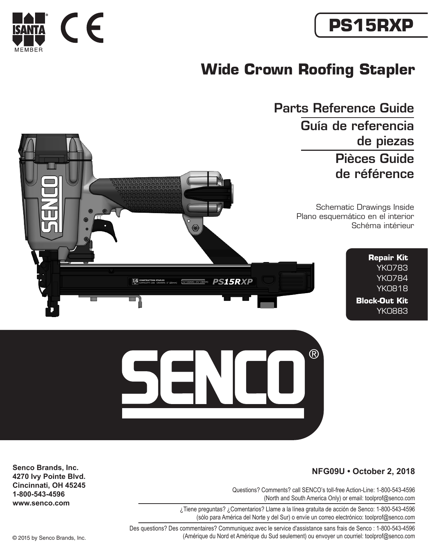

# **PS15RXP**

# **Wide Crown Roofing Stapler**

Schematic Drawings Inside Plano esquemático en el interior Schéma intérieur Parts Reference Guide Guía de referencia de piezas Pièces Guide de référence **Repair Kit** YK0783 YK0784

YK0818 **Block-Out Kit** YK0883

 $(R)$ 



#### **NFG09U • October 2, 2018**

Questions? Comments? call SENCO's toll-free Action-Line: 1-800-543-4596 (North and South America Only) or email: toolprof@senco.com

¿Tiene preguntas? ¿Comentarios? Llame a la línea gratuita de acción de Senco: 1-800-543-4596 (sólo para América del Norte y del Sur) o envíe un correo electrónico: toolprof@senco.com

Des questions? Des commentaires? Communiquez avec le service d'assistance sans frais de Senco : 1-800-543-4596 © 2015 by Senco Brands, Inc. (Amérique du Nord et Amérique du Sud seulement) ou envoyer un courriel: toolprof@senco.com

**Senco Brands, Inc. 4270 Ivy Pointe Blvd. Cincinnati, OH 45245 1-800-543-4596 www.senco.com**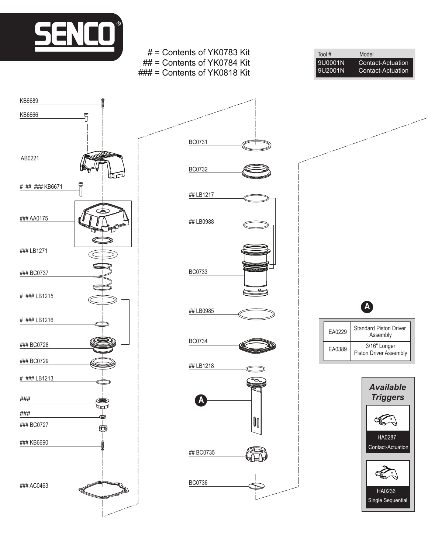

i

AB0221

# ## ### KB6671

### AA0175

### BC0737

### LB1271

# ### LB1215

# ### LB1216

### BC0728

### BC0729

# ### LB1213

KB6666

KB6689

### ###

### KB6690

### BC0727

£

### AC0463



EA0229 Standard Piston Driver Assembly EA0389 3/16" Longer Piston Driver Assembly **A**

Tool # Model<br>9U0001N Conta

9U0001N Contact-Actuation<br>9U2001N Contact-Actuation

Contact-Actuation

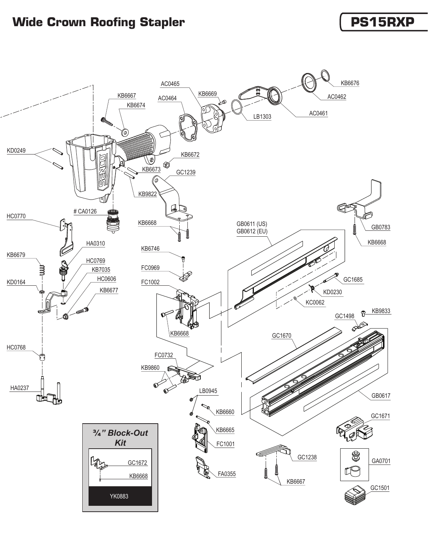## **Wide Crown Roofing Stapler PS15RXP**